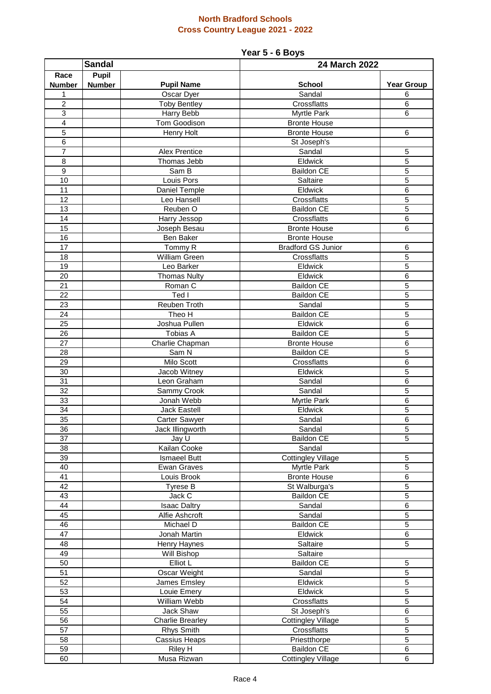## **North Bradford Schools Cross Country League 2021 - 2022**

### **Year 5 - 6 Boys**

| <b>Sandal</b>   |               |                                           | 24 March 2022                            |                     |  |
|-----------------|---------------|-------------------------------------------|------------------------------------------|---------------------|--|
| Race            | <b>Pupil</b>  |                                           |                                          |                     |  |
| <b>Number</b>   | <b>Number</b> | <b>Pupil Name</b>                         | <b>School</b>                            | <b>Year Group</b>   |  |
| 1               |               | Oscar Dyer                                | Sandal                                   | 6                   |  |
| $\overline{c}$  |               | <b>Toby Bentley</b>                       | Crossflatts                              | 6                   |  |
| 3               |               | Harry Bebb                                | Myrtle Park                              | 6                   |  |
| $\overline{4}$  |               | Tom Goodison                              | <b>Bronte House</b>                      |                     |  |
| $\overline{5}$  |               | Henry Holt                                | <b>Bronte House</b>                      | $\,6$               |  |
| $\overline{6}$  |               |                                           | St Joseph's                              |                     |  |
| 7               |               | <b>Alex Prentice</b>                      | Sandal                                   | 5                   |  |
| $\overline{8}$  |               | Thomas Jebb                               | Eldwick                                  | $\overline{5}$      |  |
| $\overline{9}$  |               | Sam B                                     | <b>Baildon CE</b>                        | $\overline{5}$      |  |
| 10              |               | Louis Pors                                | Saltaire                                 | $\overline{5}$      |  |
| 11              |               | Daniel Temple                             | Eldwick                                  | 6                   |  |
| 12              |               | Leo Hansell                               | Crossflatts                              | 5                   |  |
| 13              |               | Reuben O                                  | <b>Baildon CE</b>                        | 5                   |  |
| 14              |               | Harry Jessop                              | Crossflatts                              | 6                   |  |
| 15              |               | Joseph Besau                              | <b>Bronte House</b>                      | 6                   |  |
| 16              |               | Ben Baker                                 | <b>Bronte House</b>                      |                     |  |
| 17              |               | Tommy R                                   | <b>Bradford GS Junior</b>                | 6                   |  |
| 18              |               | William Green                             | Crossflatts                              | 5                   |  |
| 19              |               | Leo Barker                                | Eldwick                                  | $\overline{5}$      |  |
| 20              |               | <b>Thomas Nulty</b>                       | Eldwick                                  | 6                   |  |
| 21              |               | Roman C                                   | <b>Baildon CE</b>                        | $\overline{5}$      |  |
| $\overline{22}$ |               | Ted I                                     | <b>Baildon CE</b>                        | $\overline{5}$      |  |
| $\overline{23}$ |               | <b>Reuben Troth</b>                       | Sandal                                   | $\overline{5}$      |  |
| $\overline{24}$ |               | Theo H                                    | <b>Baildon CE</b>                        | $\overline{5}$      |  |
| $\overline{25}$ |               | Joshua Pullen                             | Eldwick                                  | $\overline{6}$      |  |
| 26              |               | Tobias A                                  | <b>Baildon CE</b>                        | $\overline{5}$      |  |
| 27              |               | Charlie Chapman                           | <b>Bronte House</b>                      | 6                   |  |
| 28              |               | Sam N                                     | <b>Baildon CE</b>                        | 5                   |  |
| 29              |               | Milo Scott                                | Crossflatts                              | 6                   |  |
| 30              |               | Jacob Witney                              | Eldwick                                  | 5                   |  |
| 31              |               | Leon Graham                               | Sandal                                   | 6                   |  |
| 32              |               | Sammy Crook                               | Sandal                                   | 5                   |  |
| 33              |               | Jonah Webb                                | Myrtle Park                              | 6                   |  |
| 34              |               | Jack Eastell                              | Eldwick                                  | 5                   |  |
| 35              |               | Carter Sawyer                             | Sandal                                   | 6                   |  |
| 36              |               | Jack Illingworth                          | Sandal                                   | 5                   |  |
| 37              |               | Jay U                                     | <b>Baildon CE</b>                        | $\overline{5}$      |  |
| 38<br>39        |               | Kailan Cooke                              | Sandal                                   |                     |  |
| 40              |               | <b>Ismaeel Butt</b><br><b>Ewan Graves</b> | <b>Cottingley Village</b><br>Myrtle Park | 5<br>$\overline{5}$ |  |
| 41              |               | Louis Brook                               | <b>Bronte House</b>                      | 6                   |  |
| 42              |               | Tyrese B                                  | St Walburga's                            | $\overline{5}$      |  |
| 43              |               | Jack C                                    | <b>Baildon CE</b>                        | $\overline{5}$      |  |
| 44              |               | <b>Isaac Daltry</b>                       | Sandal                                   | 6                   |  |
| 45              |               | Alfie Ashcroft                            | Sandal                                   | 5                   |  |
| 46              |               | Michael D                                 | <b>Baildon CE</b>                        | 5                   |  |
| 47              |               | Jonah Martin                              | Eldwick                                  | 6                   |  |
| 48              |               | Henry Haynes                              | Saltaire                                 | 5                   |  |
| 49              |               | Will Bishop                               | Saltaire                                 |                     |  |
| 50              |               | Elliot L                                  | <b>Baildon CE</b>                        | 5                   |  |
| 51              |               | Oscar Weight                              | Sandal                                   | 5                   |  |
| 52              |               | James Emsley                              | Eldwick                                  | 5                   |  |
| 53              |               | Louie Emery                               | Eldwick                                  | $\overline{5}$      |  |
| 54              |               | William Webb                              | Crossflatts                              | 5                   |  |
| 55              |               | Jack Shaw                                 | St Joseph's                              | 6                   |  |
| 56              |               | <b>Charlie Brearley</b>                   | Cottingley Village                       | 5                   |  |
| 57              |               | Rhys Smith                                | Crossflatts                              | 5                   |  |
| 58              |               | Cassius Heaps                             | Priestthorpe                             | 5                   |  |
| 59              |               | Riley H                                   | <b>Baildon CE</b>                        | 6                   |  |
| 60              |               | Musa Rizwan                               | <b>Cottingley Village</b>                | 6                   |  |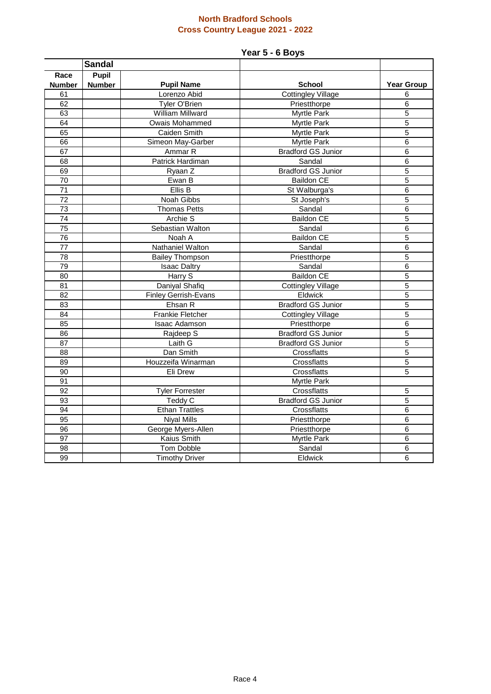### **North Bradford Schools Cross Country League 2021 - 2022**

# **Year 5 - 6 Boys**

|                 | <b>Sandal</b> |                             |                           |                   |
|-----------------|---------------|-----------------------------|---------------------------|-------------------|
| Race            | <b>Pupil</b>  |                             |                           |                   |
| <b>Number</b>   | <b>Number</b> | <b>Pupil Name</b>           | <b>School</b>             | <b>Year Group</b> |
| 61              |               | Lorenzo Abid                | <b>Cottingley Village</b> | 6                 |
| 62              |               | Tyler O'Brien               | Priestthorpe              | $6\phantom{1}6$   |
| 63              |               | William Millward            | Myrtle Park               | 5                 |
| 64              |               | Owais Mohammed              | Myrtle Park               | $\overline{5}$    |
| 65              |               | Caiden Smith                | <b>Myrtle Park</b>        | $\overline{5}$    |
| 66              |               | Simeon May-Garber           | <b>Myrtle Park</b>        | 6                 |
| 67              |               | Ammar R                     | <b>Bradford GS Junior</b> | 6                 |
| 68              |               | Patrick Hardiman            | Sandal                    | $\,6$             |
| 69              |               | Ryaan Z                     | <b>Bradford GS Junior</b> | $\overline{5}$    |
| 70              |               | Ewan B                      | <b>Baildon CE</b>         | 5                 |
| $\overline{71}$ |               | Ellis B                     | St Walburga's             | $6\phantom{1}6$   |
| $\overline{72}$ |               | Noah Gibbs                  | St Joseph's               | $\overline{5}$    |
| $\overline{73}$ |               | <b>Thomas Petts</b>         | Sandal                    | $6\phantom{1}6$   |
| 74              |               | Archie S                    | <b>Baildon CE</b>         | 5                 |
| 75              |               | Sebastian Walton            | Sandal                    | 6                 |
| 76              |               | Noah A                      | <b>Baildon CE</b>         | 5                 |
| $\overline{77}$ |               | Nathaniel Walton            | Sandal                    | $6\phantom{1}6$   |
| 78              |               | <b>Bailey Thompson</b>      | Priestthorpe              | 5                 |
| 79              |               | <b>Isaac Daltry</b>         | Sandal                    | 6                 |
| 80              |               | Harry S                     | Baildon CE                | 5                 |
| 81              |               | Daniyal Shafiq              | <b>Cottingley Village</b> | $\overline{5}$    |
| 82              |               | <b>Finley Gerrish-Evans</b> | Eldwick                   | $\overline{5}$    |
| 83              |               | Ehsan R                     | <b>Bradford GS Junior</b> | 5                 |
| 84              |               | <b>Frankie Fletcher</b>     | <b>Cottingley Village</b> | $\overline{5}$    |
| 85              |               | <b>Isaac Adamson</b>        | Priestthorpe              | $\overline{6}$    |
| 86              |               | Rajdeep S                   | <b>Bradford GS Junior</b> | $\overline{5}$    |
| 87              |               | Laith G                     | <b>Bradford GS Junior</b> | 5                 |
| 88              |               | Dan Smith                   | Crossflatts               | $\overline{5}$    |
| 89              |               | Houzzeifa Winarman          | Crossflatts               | 5                 |
| 90              |               | Eli Drew                    | Crossflatts               | 5                 |
| 91              |               |                             | Myrtle Park               |                   |
| 92              |               | <b>Tyler Forrester</b>      | Crossflatts               | 5                 |
| 93              |               | Teddy C                     | <b>Bradford GS Junior</b> | 5                 |
| 94              |               | <b>Ethan Trattles</b>       | Crossflatts               | $\,6$             |
| 95              |               | <b>Niyal Mills</b>          | Priestthorpe              | $\overline{6}$    |
| 96              |               | George Myers-Allen          | Priestthorpe              | $6\phantom{1}6$   |
| 97              |               | Kaius Smith                 | Myrtle Park               | $6\phantom{1}6$   |
| 98              |               | <b>Tom Dobble</b>           | Sandal                    | 6                 |
| 99              |               | <b>Timothy Driver</b>       | Eldwick                   | 6                 |